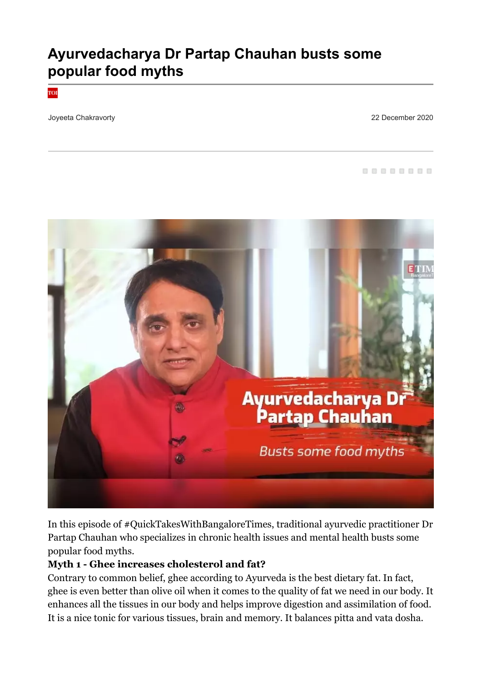# **Ayurvedacharya Dr Partap Chauhan busts some popular food myths**

тoг

Joyeeta Chakravorty 22 December 2020

88888888



In this episode of #QuickTakesWithBangaloreTimes, traditional ayurvedic practitioner Dr Partap Chauhan who specializes in chronic health issues and mental health busts some popular food myths.

#### **Myth 1 - Ghee increases cholesterol and fat?**

Contrary to common belief, ghee according to Ayurveda is the best dietary fat. In fact, ghee is even better than olive oil when it comes to the quality of fat we need in our body. It enhances all the tissues in our body and helps improve digestion and assimilation of food. It is a nice tonic for various tissues, brain and memory. It balances pitta and vata dosha.